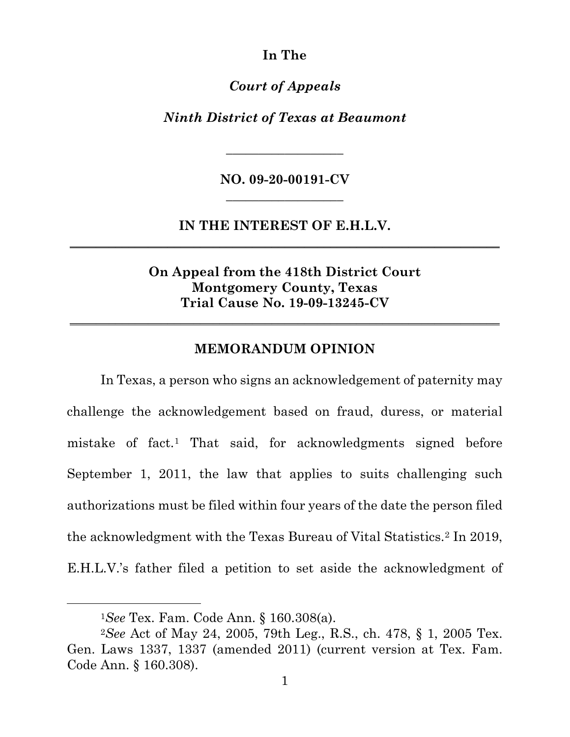**In The**

*Court of Appeals*

*Ninth District of Texas at Beaumont*

**NO. 09-20-00191-CV \_\_\_\_\_\_\_\_\_\_\_\_\_\_\_\_\_\_**

*\_\_\_\_\_\_\_\_\_\_\_\_\_\_\_\_\_\_*

**IN THE INTEREST OF E.H.L.V. \_\_\_\_\_\_\_\_\_\_\_\_\_\_\_\_\_\_\_\_\_\_\_\_\_\_\_\_\_\_\_\_\_\_\_\_\_\_\_\_\_\_\_\_\_\_\_\_\_\_\_\_\_\_\_\_\_\_\_\_\_\_\_\_\_\_**

> **On Appeal from the 418th District Court Montgomery County, Texas Trial Cause No. 19-09-13245-CV**

#### **MEMORANDUM OPINION**

**\_\_\_\_\_\_\_\_\_\_\_\_\_\_\_\_\_\_\_\_\_\_\_\_\_\_\_\_\_\_\_\_\_\_\_\_\_\_\_\_\_\_\_\_\_\_\_\_\_\_\_\_\_\_\_\_\_\_\_\_\_\_\_\_\_\_**

In Texas, a person who signs an acknowledgement of paternity may challenge the acknowledgement based on fraud, duress, or material mistake of fact.[1](#page-0-0) That said, for acknowledgments signed before September 1, 2011, the law that applies to suits challenging such authorizations must be filed within four years of the date the person filed the acknowledgment with the Texas Bureau of Vital Statistics.[2](#page-0-1) In 2019, E.H.L.V.'s father filed a petition to set aside the acknowledgment of

<span id="page-0-1"></span><span id="page-0-0"></span><sup>1</sup>*See* Tex. Fam. Code Ann. § 160.308(a). 2*See* Act of May 24, 2005, 79th Leg., R.S., ch. 478, § 1, 2005 Tex. Gen. Laws 1337, 1337 (amended 2011) (current version at Tex. Fam. Code Ann. § 160.308).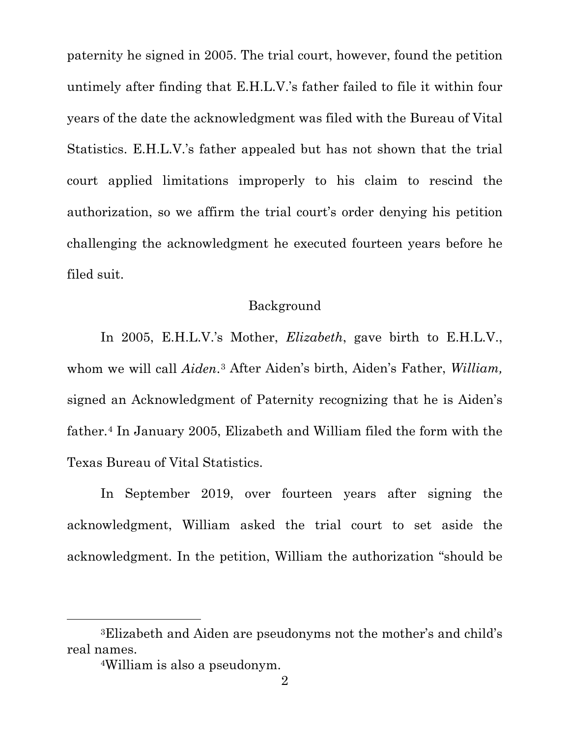paternity he signed in 2005. The trial court, however, found the petition untimely after finding that E.H.L.V.'s father failed to file it within four years of the date the acknowledgment was filed with the Bureau of Vital Statistics. E.H.L.V.'s father appealed but has not shown that the trial court applied limitations improperly to his claim to rescind the authorization, so we affirm the trial court's order denying his petition challenging the acknowledgment he executed fourteen years before he filed suit.

## Background

In 2005, E.H.L.V.'s Mother, *Elizabeth*, gave birth to E.H.L.V., whom we will call *Aiden*.[3](#page-1-0) After Aiden's birth, Aiden's Father, *William,*  signed an Acknowledgment of Paternity recognizing that he is Aiden's father.[4](#page-1-1) In January 2005, Elizabeth and William filed the form with the Texas Bureau of Vital Statistics.

In September 2019, over fourteen years after signing the acknowledgment, William asked the trial court to set aside the acknowledgment. In the petition, William the authorization "should be

<span id="page-1-1"></span><span id="page-1-0"></span><sup>3</sup>Elizabeth and Aiden are pseudonyms not the mother's and child's real names.

<sup>4</sup>William is also a pseudonym.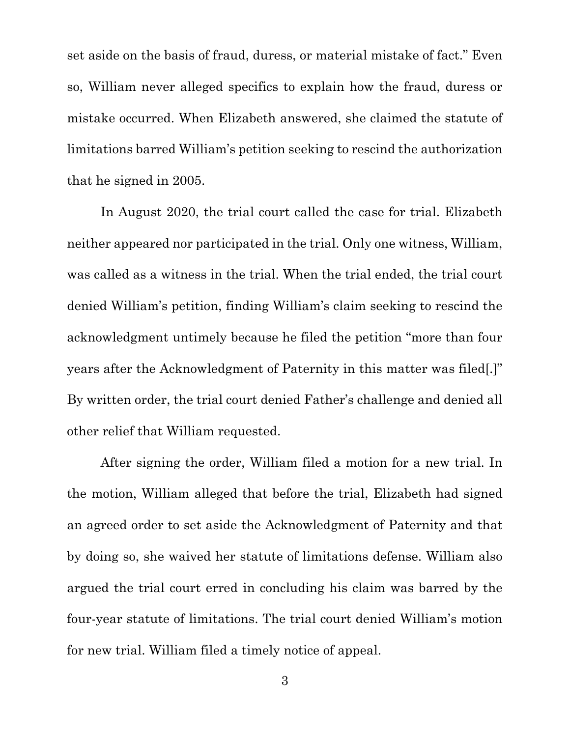set aside on the basis of fraud, duress, or material mistake of fact." Even so, William never alleged specifics to explain how the fraud, duress or mistake occurred. When Elizabeth answered, she claimed the statute of limitations barred William's petition seeking to rescind the authorization that he signed in 2005.

In August 2020, the trial court called the case for trial. Elizabeth neither appeared nor participated in the trial. Only one witness, William, was called as a witness in the trial. When the trial ended, the trial court denied William's petition, finding William's claim seeking to rescind the acknowledgment untimely because he filed the petition "more than four years after the Acknowledgment of Paternity in this matter was filed[.]" By written order, the trial court denied Father's challenge and denied all other relief that William requested.

After signing the order, William filed a motion for a new trial. In the motion, William alleged that before the trial, Elizabeth had signed an agreed order to set aside the Acknowledgment of Paternity and that by doing so, she waived her statute of limitations defense. William also argued the trial court erred in concluding his claim was barred by the four-year statute of limitations. The trial court denied William's motion for new trial. William filed a timely notice of appeal.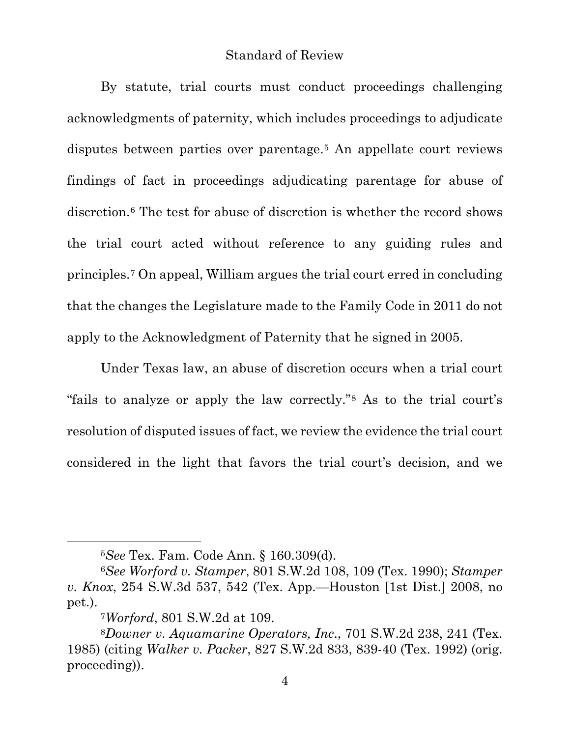#### Standard of Review

By statute, trial courts must conduct proceedings challenging acknowledgments of paternity, which includes proceedings to adjudicate disputes between parties over parentage.<sup>[5](#page-3-0)</sup> An appellate court reviews findings of fact in proceedings adjudicating parentage for abuse of discretion.[6](#page-3-1) The test for abuse of discretion is whether the record shows the trial court acted without reference to any guiding rules and principles.[7](#page-3-2) On appeal, William argues the trial court erred in concluding that the changes the Legislature made to the Family Code in 2011 do not apply to the Acknowledgment of Paternity that he signed in 2005.

Under Texas law, an abuse of discretion occurs when a trial court "fails to analyze or apply the law correctly."[8](#page-3-3) As to the trial court's resolution of disputed issues of fact, we review the evidence the trial court considered in the light that favors the trial court's decision, and we

<sup>5</sup>*See* Tex. Fam. Code Ann. § 160.309(d).

<span id="page-3-1"></span><span id="page-3-0"></span><sup>6</sup>*See Worford v. Stamper*, 801 S.W.2d 108, 109 (Tex. 1990); *Stamper v. Knox*, 254 S.W.3d 537, 542 (Tex. App.—Houston [1st Dist.] 2008, no pet.).

<sup>7</sup>*Worford*, 801 S.W.2d at 109.

<span id="page-3-3"></span><span id="page-3-2"></span><sup>8</sup>*Downer v. Aquamarine Operators, Inc*., 701 S.W.2d 238, 241 (Tex. 1985) (citing *Walker v. Packer*, 827 S.W.2d 833, 839-40 (Tex. 1992) (orig. proceeding)).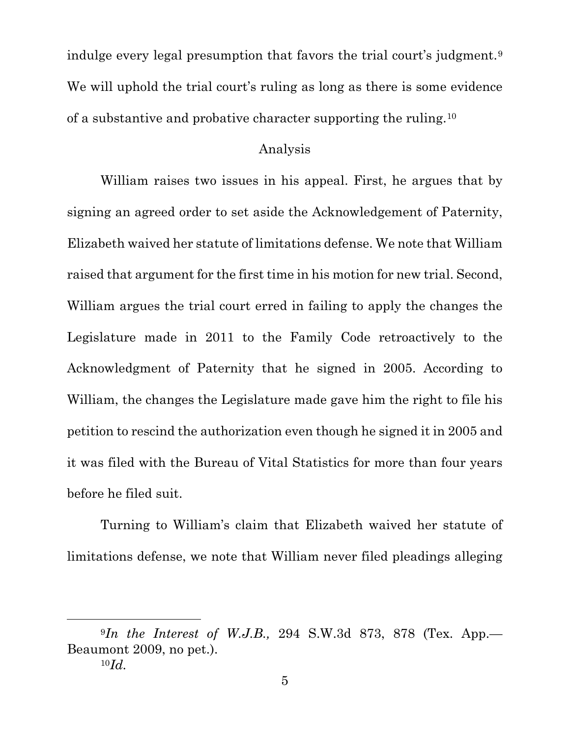indulge every legal presumption that favors the trial court's judgment.[9](#page-4-0) We will uphold the trial court's ruling as long as there is some evidence of a substantive and probative character supporting the ruling.[10](#page-4-1)

### Analysis

William raises two issues in his appeal. First, he argues that by signing an agreed order to set aside the Acknowledgement of Paternity, Elizabeth waived her statute of limitations defense. We note that William raised that argument for the first time in his motion for new trial. Second, William argues the trial court erred in failing to apply the changes the Legislature made in 2011 to the Family Code retroactively to the Acknowledgment of Paternity that he signed in 2005. According to William, the changes the Legislature made gave him the right to file his petition to rescind the authorization even though he signed it in 2005 and it was filed with the Bureau of Vital Statistics for more than four years before he filed suit.

Turning to William's claim that Elizabeth waived her statute of limitations defense, we note that William never filed pleadings alleging

<span id="page-4-1"></span><span id="page-4-0"></span><sup>9</sup>*In the Interest of W.J.B.,* 294 S.W.3d 873, 878 (Tex. App.— Beaumont 2009, no pet.). 10*Id.*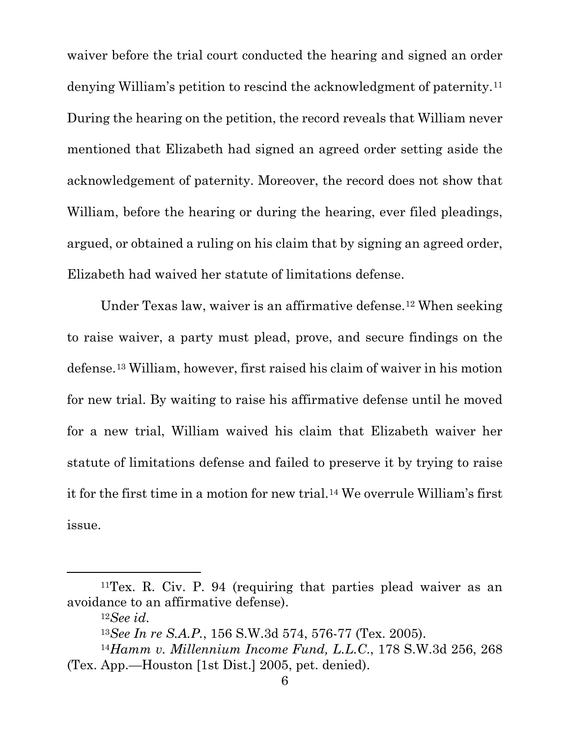waiver before the trial court conducted the hearing and signed an order denying William's petition to rescind the acknowledgment of paternity.[11](#page-5-0) During the hearing on the petition, the record reveals that William never mentioned that Elizabeth had signed an agreed order setting aside the acknowledgement of paternity. Moreover, the record does not show that William, before the hearing or during the hearing, ever filed pleadings, argued, or obtained a ruling on his claim that by signing an agreed order, Elizabeth had waived her statute of limitations defense.

Under Texas law, waiver is an affirmative defense.[12](#page-5-1) When seeking to raise waiver, a party must plead, prove, and secure findings on the defense.[13](#page-5-2) William, however, first raised his claim of waiver in his motion for new trial. By waiting to raise his affirmative defense until he moved for a new trial, William waived his claim that Elizabeth waiver her statute of limitations defense and failed to preserve it by trying to raise it for the first time in a motion for new trial.[14](#page-5-3) We overrule William's first issue.

<span id="page-5-1"></span><span id="page-5-0"></span><sup>11</sup>Tex. R. Civ. P. 94 (requiring that parties plead waiver as an avoidance to an affirmative defense).

<sup>12</sup>*See id*. 13*See In re S.A.P.*, 156 S.W.3d 574, 576-77 (Tex. 2005).

<span id="page-5-3"></span><span id="page-5-2"></span><sup>14</sup>*Hamm v. Millennium Income Fund, L.L.C*., 178 S.W.3d 256, 268 (Tex. App.—Houston [1st Dist.] 2005, pet. denied).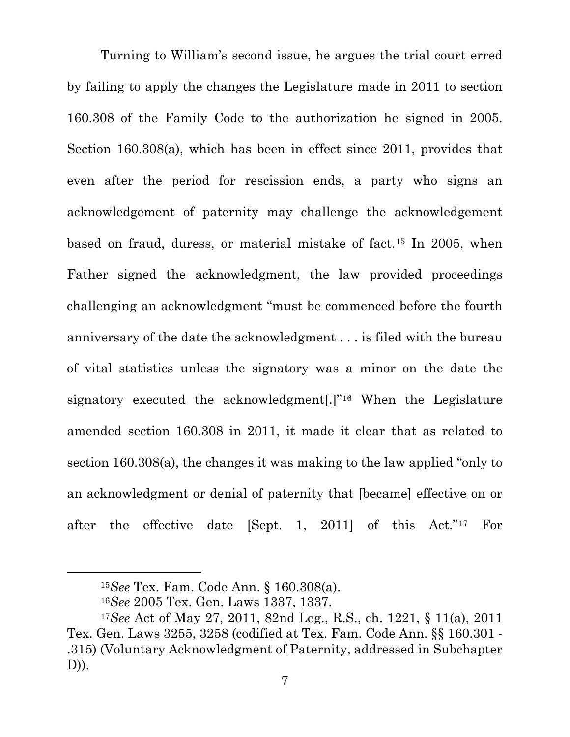Turning to William's second issue, he argues the trial court erred by failing to apply the changes the Legislature made in 2011 to section 160.308 of the Family Code to the authorization he signed in 2005. Section 160.308(a), which has been in effect since 2011, provides that even after the period for rescission ends, a party who signs an acknowledgement of paternity may challenge the acknowledgement based on fraud, duress, or material mistake of fact.[15](#page-6-0) In 2005, when Father signed the acknowledgment, the law provided proceedings challenging an acknowledgment "must be commenced before the fourth anniversary of the date the acknowledgment . . . is filed with the bureau of vital statistics unless the signatory was a minor on the date the signatory executed the acknowledgment[.]"[16](#page-6-1) When the Legislature amended section 160.308 in 2011, it made it clear that as related to section 160.308(a), the changes it was making to the law applied "only to an acknowledgment or denial of paternity that [became] effective on or after the effective date [Sept. 1, 2011] of this Act."[17](#page-6-2) For

<sup>15</sup>*See* Tex. Fam. Code Ann. § 160.308(a).

<sup>16</sup>*See* 2005 Tex. Gen. Laws 1337, 1337.

<span id="page-6-2"></span><span id="page-6-1"></span><span id="page-6-0"></span><sup>17</sup>*See* Act of May 27, 2011, 82nd Leg., R.S., ch. 1221, § 11(a), 2011 Tex. Gen. Laws 3255, 3258 (codified at Tex. Fam. Code Ann. §§ 160.301 - .315) (Voluntary Acknowledgment of Paternity, addressed in Subchapter D)).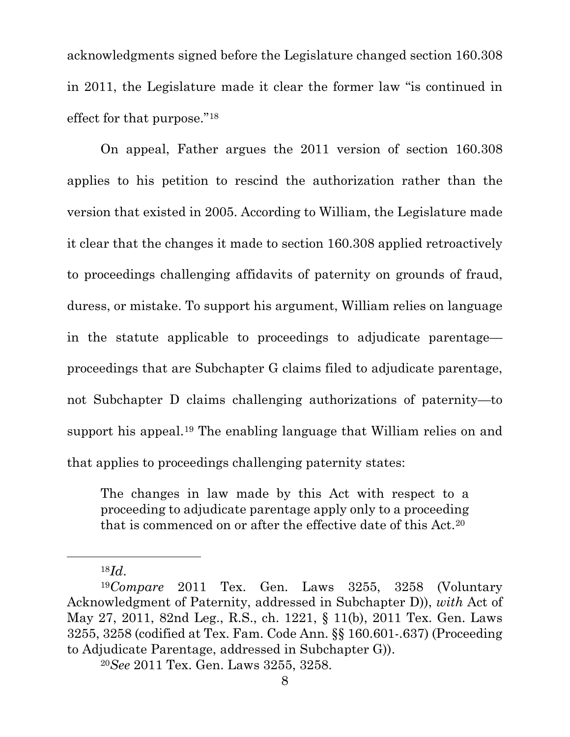acknowledgments signed before the Legislature changed section 160.308 in 2011, the Legislature made it clear the former law "is continued in effect for that purpose."[18](#page-7-0)

On appeal, Father argues the 2011 version of section 160.308 applies to his petition to rescind the authorization rather than the version that existed in 2005. According to William, the Legislature made it clear that the changes it made to section 160.308 applied retroactively to proceedings challenging affidavits of paternity on grounds of fraud, duress, or mistake. To support his argument, William relies on language in the statute applicable to proceedings to adjudicate parentage proceedings that are Subchapter G claims filed to adjudicate parentage, not Subchapter D claims challenging authorizations of paternity—to support his appeal.[19](#page-7-1) The enabling language that William relies on and that applies to proceedings challenging paternity states:

The changes in law made by this Act with respect to a proceeding to adjudicate parentage apply only to a proceeding that is commenced on or after the effective date of this Act.[20](#page-7-2)

<span id="page-7-1"></span><span id="page-7-0"></span><sup>18</sup>*Id*. 19*Compare* 2011 Tex. Gen. Laws 3255, 3258 (Voluntary Acknowledgment of Paternity, addressed in Subchapter D)), *with* Act of May 27, 2011, 82nd Leg., R.S., ch. 1221, § 11(b), 2011 Tex. Gen. Laws 3255, 3258 (codified at Tex. Fam. Code Ann. §§ 160.601-.637) (Proceeding to Adjudicate Parentage, addressed in Subchapter G)).

<span id="page-7-2"></span><sup>20</sup>*See* 2011 Tex. Gen. Laws 3255, 3258.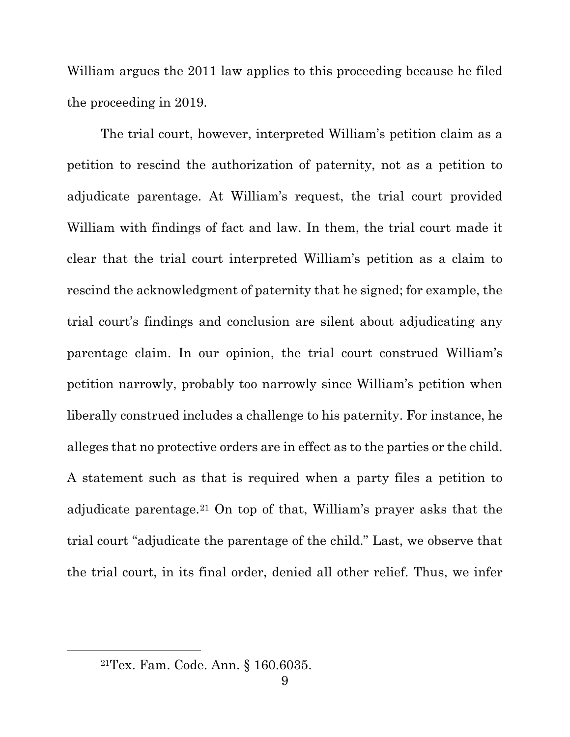William argues the 2011 law applies to this proceeding because he filed the proceeding in 2019.

The trial court, however, interpreted William's petition claim as a petition to rescind the authorization of paternity, not as a petition to adjudicate parentage. At William's request, the trial court provided William with findings of fact and law. In them, the trial court made it clear that the trial court interpreted William's petition as a claim to rescind the acknowledgment of paternity that he signed; for example, the trial court's findings and conclusion are silent about adjudicating any parentage claim. In our opinion, the trial court construed William's petition narrowly, probably too narrowly since William's petition when liberally construed includes a challenge to his paternity. For instance, he alleges that no protective orders are in effect as to the parties or the child. A statement such as that is required when a party files a petition to adjudicate parentage.[21](#page-8-0) On top of that, William's prayer asks that the trial court "adjudicate the parentage of the child." Last, we observe that the trial court, in its final order, denied all other relief. Thus, we infer

<span id="page-8-0"></span><sup>21</sup>Tex. Fam. Code. Ann. § 160.6035.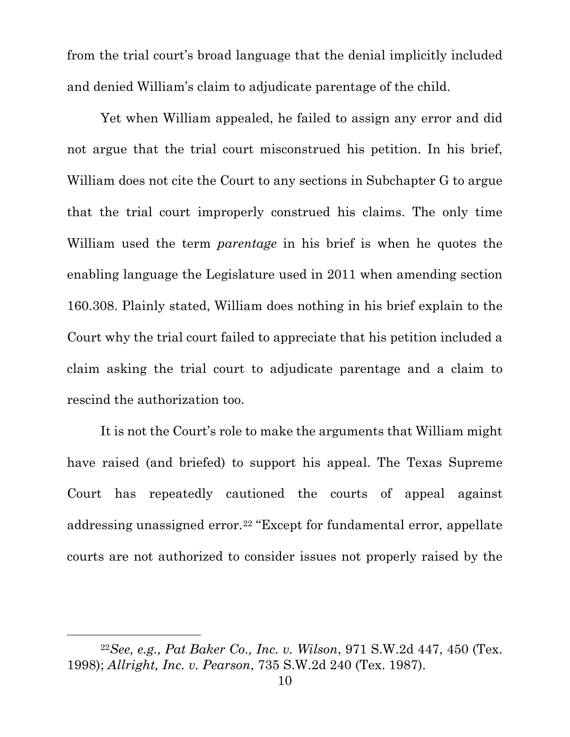from the trial court's broad language that the denial implicitly included and denied William's claim to adjudicate parentage of the child.

Yet when William appealed, he failed to assign any error and did not argue that the trial court misconstrued his petition. In his brief, William does not cite the Court to any sections in Subchapter G to argue that the trial court improperly construed his claims. The only time William used the term *parentage* in his brief is when he quotes the enabling language the Legislature used in 2011 when amending section 160.308. Plainly stated, William does nothing in his brief explain to the Court why the trial court failed to appreciate that his petition included a claim asking the trial court to adjudicate parentage and a claim to rescind the authorization too.

It is not the Court's role to make the arguments that William might have raised (and briefed) to support his appeal. The Texas Supreme Court has repeatedly cautioned the courts of appeal against addressing unassigned error.[22](#page-9-0) "Except for fundamental error, appellate courts are not authorized to consider issues not properly raised by the

<span id="page-9-0"></span><sup>22</sup>*See, e.g., Pat Baker Co., Inc. v. Wilson*, 971 S.W.2d 447, 450 (Tex. 1998); *Allright, Inc. v. Pearson*, 735 S.W.2d 240 (Tex. 1987).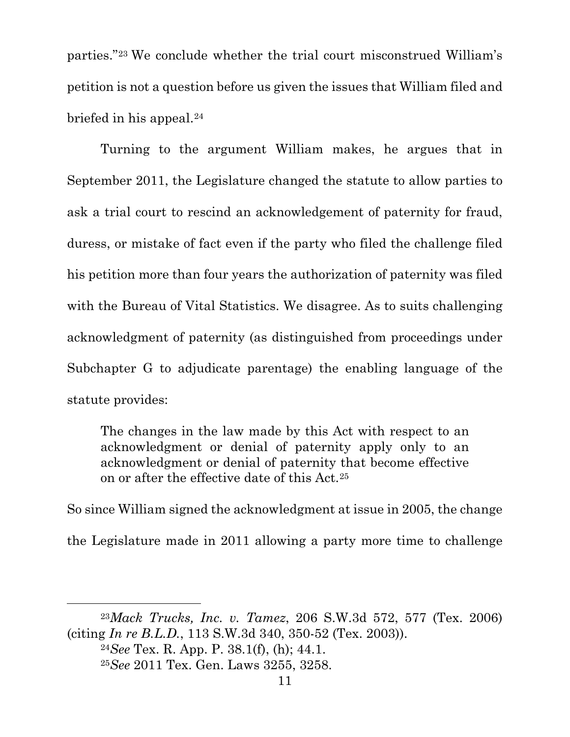parties."[23](#page-10-0) We conclude whether the trial court misconstrued William's petition is not a question before us given the issues that William filed and briefed in his appeal.[24](#page-10-1)

Turning to the argument William makes, he argues that in September 2011, the Legislature changed the statute to allow parties to ask a trial court to rescind an acknowledgement of paternity for fraud, duress, or mistake of fact even if the party who filed the challenge filed his petition more than four years the authorization of paternity was filed with the Bureau of Vital Statistics. We disagree. As to suits challenging acknowledgment of paternity (as distinguished from proceedings under Subchapter G to adjudicate parentage) the enabling language of the statute provides:

The changes in the law made by this Act with respect to an acknowledgment or denial of paternity apply only to an acknowledgment or denial of paternity that become effective on or after the effective date of this Act.[25](#page-10-2)

So since William signed the acknowledgment at issue in 2005, the change the Legislature made in 2011 allowing a party more time to challenge

<span id="page-10-2"></span><span id="page-10-1"></span><span id="page-10-0"></span><sup>23</sup>*Mack Trucks, Inc. v. Tamez*, 206 S.W.3d 572, 577 (Tex. 2006) (citing *In re B.L.D.*, 113 S.W.3d 340, 350-52 (Tex. 2003)).

<sup>24</sup>*See* Tex. R. App. P. 38.1(f), (h); 44.1.

<sup>25</sup>*See* 2011 Tex. Gen. Laws 3255, 3258.